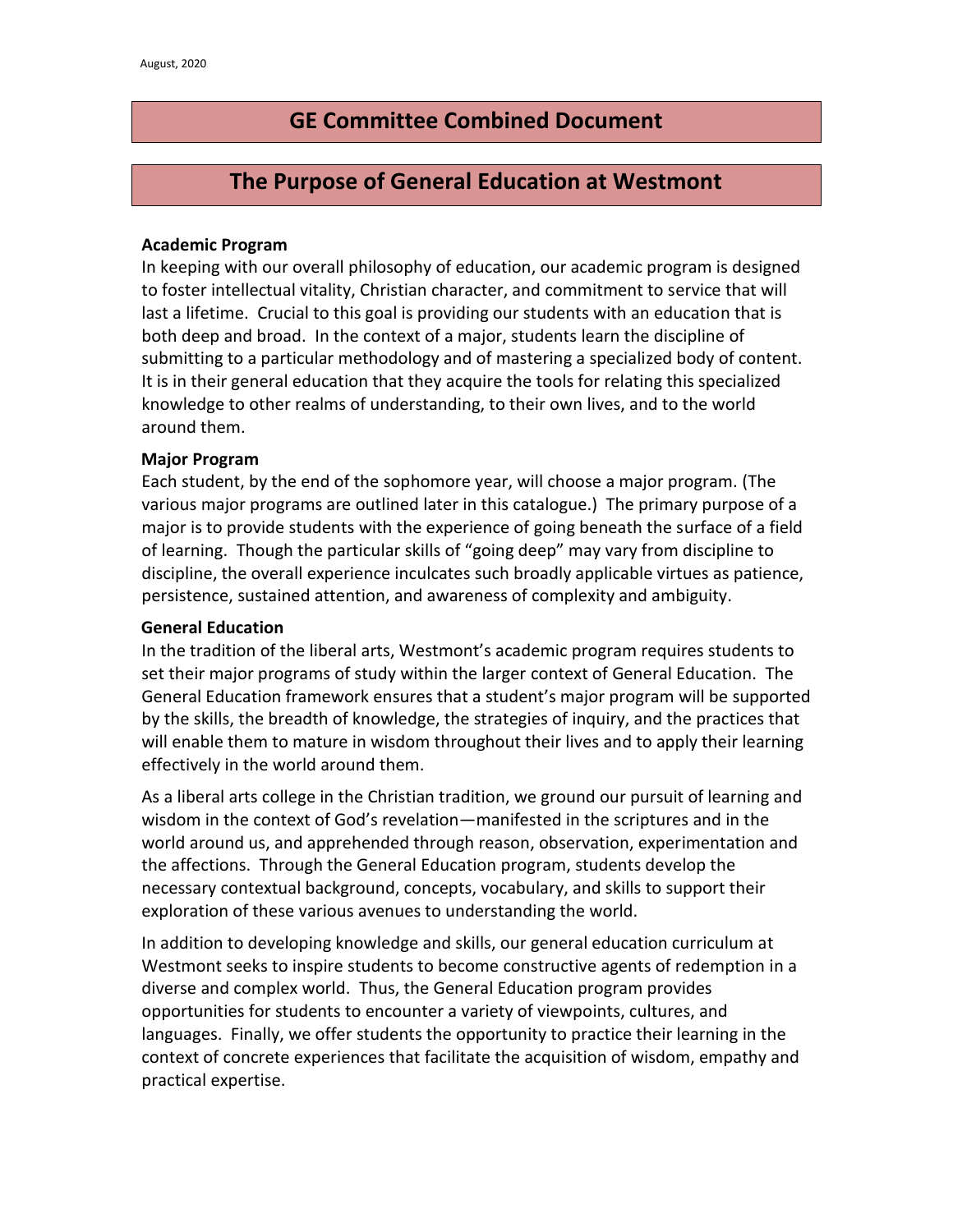# **GE Committee Combined Document**

# **The Purpose of General Education at Westmont**

#### **Academic Program**

In keeping with our overall philosophy of education, our academic program is designed to foster intellectual vitality, Christian character, and commitment to service that will last a lifetime. Crucial to this goal is providing our students with an education that is both deep and broad. In the context of a major, students learn the discipline of submitting to a particular methodology and of mastering a specialized body of content. It is in their general education that they acquire the tools for relating this specialized knowledge to other realms of understanding, to their own lives, and to the world around them.

#### **Major Program**

Each student, by the end of the sophomore year, will choose a major program. (The various major programs are outlined later in this catalogue.) The primary purpose of a major is to provide students with the experience of going beneath the surface of a field of learning. Though the particular skills of "going deep" may vary from discipline to discipline, the overall experience inculcates such broadly applicable virtues as patience, persistence, sustained attention, and awareness of complexity and ambiguity.

#### **General Education**

In the tradition of the liberal arts, Westmont's academic program requires students to set their major programs of study within the larger context of General Education. The General Education framework ensures that a student's major program will be supported by the skills, the breadth of knowledge, the strategies of inquiry, and the practices that will enable them to mature in wisdom throughout their lives and to apply their learning effectively in the world around them.

As a liberal arts college in the Christian tradition, we ground our pursuit of learning and wisdom in the context of God's revelation—manifested in the scriptures and in the world around us, and apprehended through reason, observation, experimentation and the affections. Through the General Education program, students develop the necessary contextual background, concepts, vocabulary, and skills to support their exploration of these various avenues to understanding the world.

In addition to developing knowledge and skills, our general education curriculum at Westmont seeks to inspire students to become constructive agents of redemption in a diverse and complex world. Thus, the General Education program provides opportunities for students to encounter a variety of viewpoints, cultures, and languages. Finally, we offer students the opportunity to practice their learning in the context of concrete experiences that facilitate the acquisition of wisdom, empathy and practical expertise.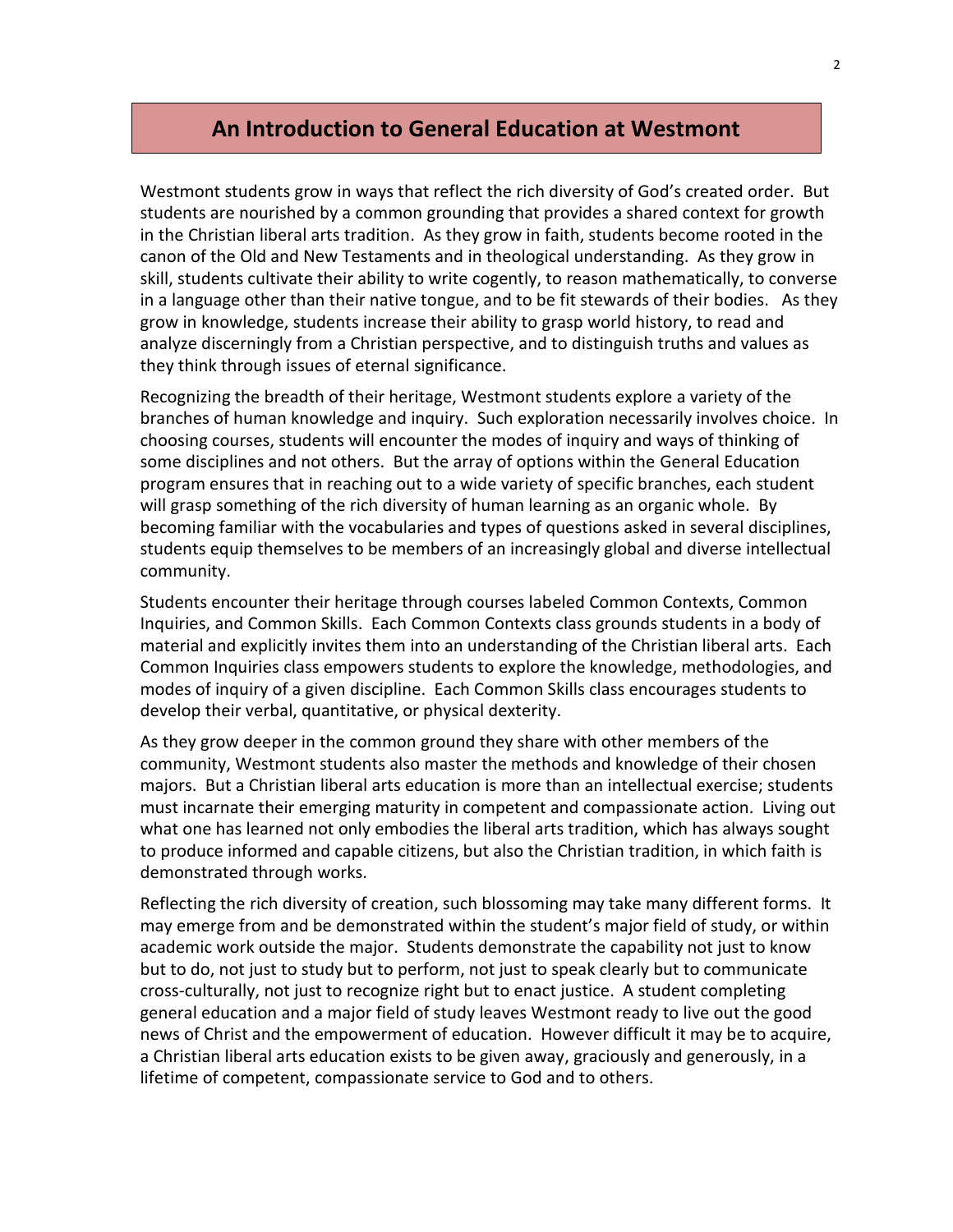## **An Introduction to General Education at Westmont**

Westmont students grow in ways that reflect the rich diversity of God's created order. But students are nourished by a common grounding that provides a shared context for growth in the Christian liberal arts tradition. As they grow in faith, students become rooted in the canon of the Old and New Testaments and in theological understanding. As they grow in skill, students cultivate their ability to write cogently, to reason mathematically, to converse in a language other than their native tongue, and to be fit stewards of their bodies. As they grow in knowledge, students increase their ability to grasp world history, to read and analyze discerningly from a Christian perspective, and to distinguish truths and values as they think through issues of eternal significance.

Recognizing the breadth of their heritage, Westmont students explore a variety of the branches of human knowledge and inquiry. Such exploration necessarily involves choice. In choosing courses, students will encounter the modes of inquiry and ways of thinking of some disciplines and not others. But the array of options within the General Education program ensures that in reaching out to a wide variety of specific branches, each student will grasp something of the rich diversity of human learning as an organic whole. By becoming familiar with the vocabularies and types of questions asked in several disciplines, students equip themselves to be members of an increasingly global and diverse intellectual community.

Students encounter their heritage through courses labeled Common Contexts, Common Inquiries, and Common Skills. Each Common Contexts class grounds students in a body of material and explicitly invites them into an understanding of the Christian liberal arts. Each Common Inquiries class empowers students to explore the knowledge, methodologies, and modes of inquiry of a given discipline. Each Common Skills class encourages students to develop their verbal, quantitative, or physical dexterity.

As they grow deeper in the common ground they share with other members of the community, Westmont students also master the methods and knowledge of their chosen majors. But a Christian liberal arts education is more than an intellectual exercise; students must incarnate their emerging maturity in competent and compassionate action. Living out what one has learned not only embodies the liberal arts tradition, which has always sought to produce informed and capable citizens, but also the Christian tradition, in which faith is demonstrated through works.

Reflecting the rich diversity of creation, such blossoming may take many different forms. It may emerge from and be demonstrated within the student's major field of study, or within academic work outside the major. Students demonstrate the capability not just to know but to do, not just to study but to perform, not just to speak clearly but to communicate cross-culturally, not just to recognize right but to enact justice. A student completing general education and a major field of study leaves Westmont ready to live out the good news of Christ and the empowerment of education. However difficult it may be to acquire, a Christian liberal arts education exists to be given away, graciously and generously, in a lifetime of competent, compassionate service to God and to others.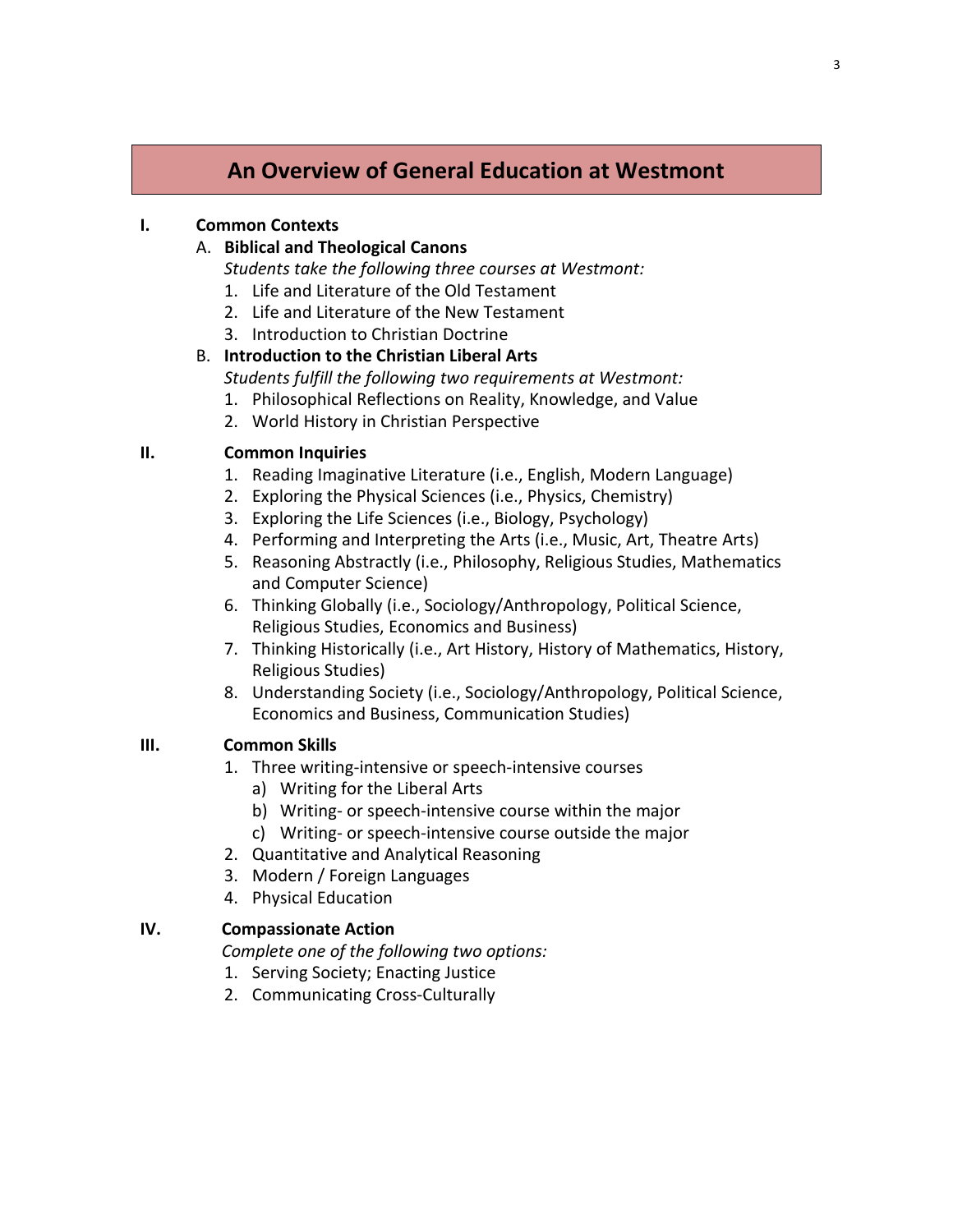# **An Overview of General Education at Westmont**

#### **I. Common Contexts**

#### A. **Biblical and Theological Canons**

*Students take the following three courses at Westmont:*

- 1. Life and Literature of the Old Testament
- 2. Life and Literature of the New Testament
- 3. Introduction to Christian Doctrine

## B. **Introduction to the Christian Liberal Arts**

- *Students fulfill the following two requirements at Westmont:*
- 1. Philosophical Reflections on Reality, Knowledge, and Value
- 2. World History in Christian Perspective

## **II. Common Inquiries**

- 1. Reading Imaginative Literature (i.e., English, Modern Language)
- 2. Exploring the Physical Sciences (i.e., Physics, Chemistry)
- 3. Exploring the Life Sciences (i.e., Biology, Psychology)
- 4. Performing and Interpreting the Arts (i.e., Music, Art, Theatre Arts)
- 5. Reasoning Abstractly (i.e., Philosophy, Religious Studies, Mathematics and Computer Science)
- 6. Thinking Globally (i.e., Sociology/Anthropology, Political Science, Religious Studies, Economics and Business)
- 7. Thinking Historically (i.e., Art History, History of Mathematics, History, Religious Studies)
- 8. Understanding Society (i.e., Sociology/Anthropology, Political Science, Economics and Business, Communication Studies)

#### **III. Common Skills**

- 1. Three writing-intensive or speech-intensive courses
	- a) Writing for the Liberal Arts
	- b) Writing- or speech-intensive course within the major
	- c) Writing- or speech-intensive course outside the major
- 2. Quantitative and Analytical Reasoning
- 3. Modern / Foreign Languages
- 4. Physical Education

## **IV. Compassionate Action**

 *Complete one of the following two options:*

- 1. Serving Society; Enacting Justice
- 2. Communicating Cross-Culturally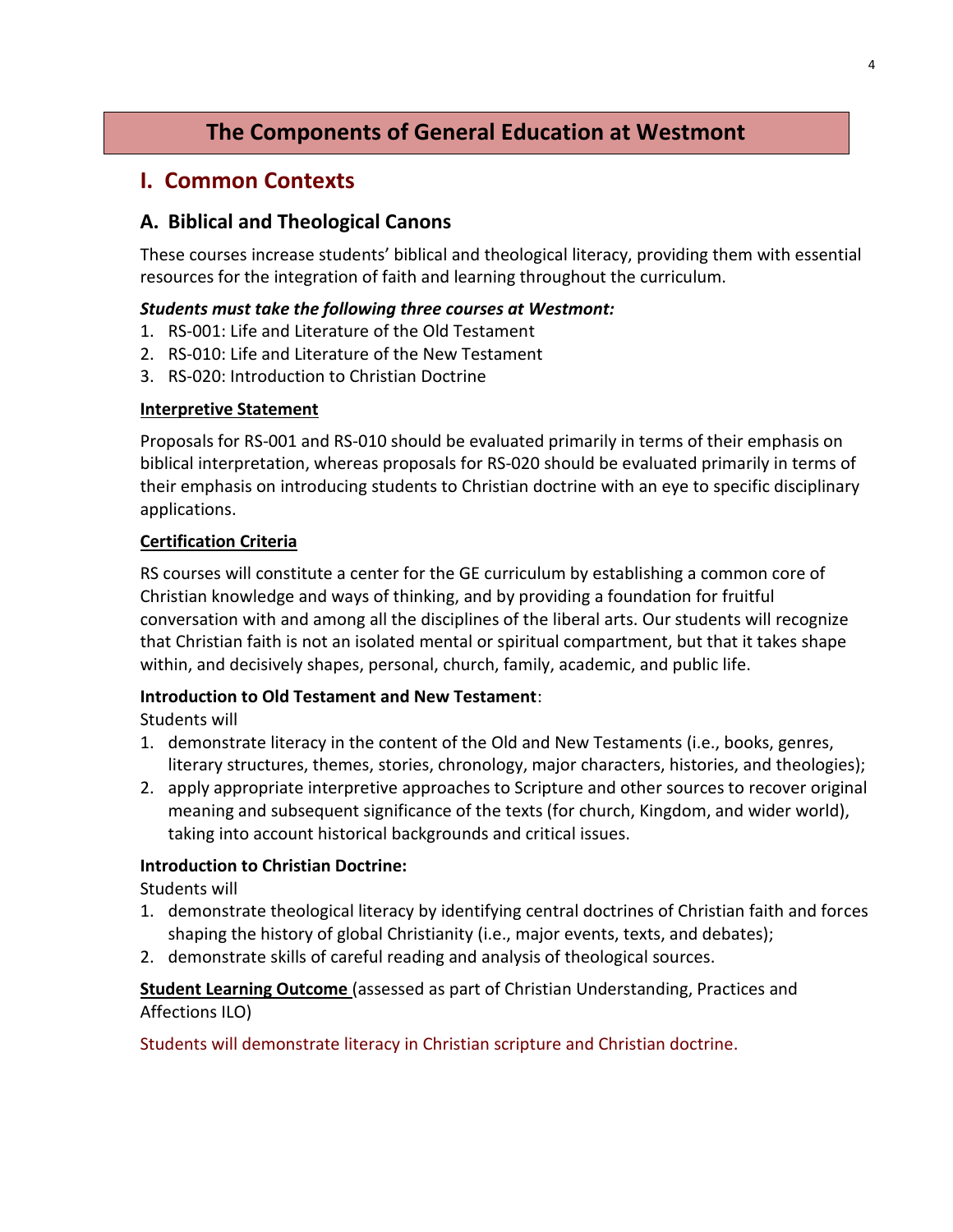# **The Components of General Education at Westmont**

# **I. Common Contexts**

## **A. Biblical and Theological Canons**

These courses increase students' biblical and theological literacy, providing them with essential resources for the integration of faith and learning throughout the curriculum.

## *Students must take the following three courses at Westmont:*

- 1. RS-001: Life and Literature of the Old Testament
- 2. RS-010: Life and Literature of the New Testament
- 3. RS-020: Introduction to Christian Doctrine

## **Interpretive Statement**

Proposals for RS-001 and RS-010 should be evaluated primarily in terms of their emphasis on biblical interpretation, whereas proposals for RS-020 should be evaluated primarily in terms of their emphasis on introducing students to Christian doctrine with an eye to specific disciplinary applications.

## **Certification Criteria**

RS courses will constitute a center for the GE curriculum by establishing a common core of Christian knowledge and ways of thinking, and by providing a foundation for fruitful conversation with and among all the disciplines of the liberal arts. Our students will recognize that Christian faith is not an isolated mental or spiritual compartment, but that it takes shape within, and decisively shapes, personal, church, family, academic, and public life.

## **Introduction to Old Testament and New Testament**:

Students will

- 1. demonstrate literacy in the content of the Old and New Testaments (i.e., books, genres, literary structures, themes, stories, chronology, major characters, histories, and theologies);
- 2. apply appropriate interpretive approaches to Scripture and other sources to recover original meaning and subsequent significance of the texts (for church, Kingdom, and wider world), taking into account historical backgrounds and critical issues.

## **Introduction to Christian Doctrine:**

Students will

- 1. demonstrate theological literacy by identifying central doctrines of Christian faith and forces shaping the history of global Christianity (i.e., major events, texts, and debates);
- 2. demonstrate skills of careful reading and analysis of theological sources.

**Student Learning Outcome** (assessed as part of Christian Understanding, Practices and Affections ILO)

Students will demonstrate literacy in Christian scripture and Christian doctrine.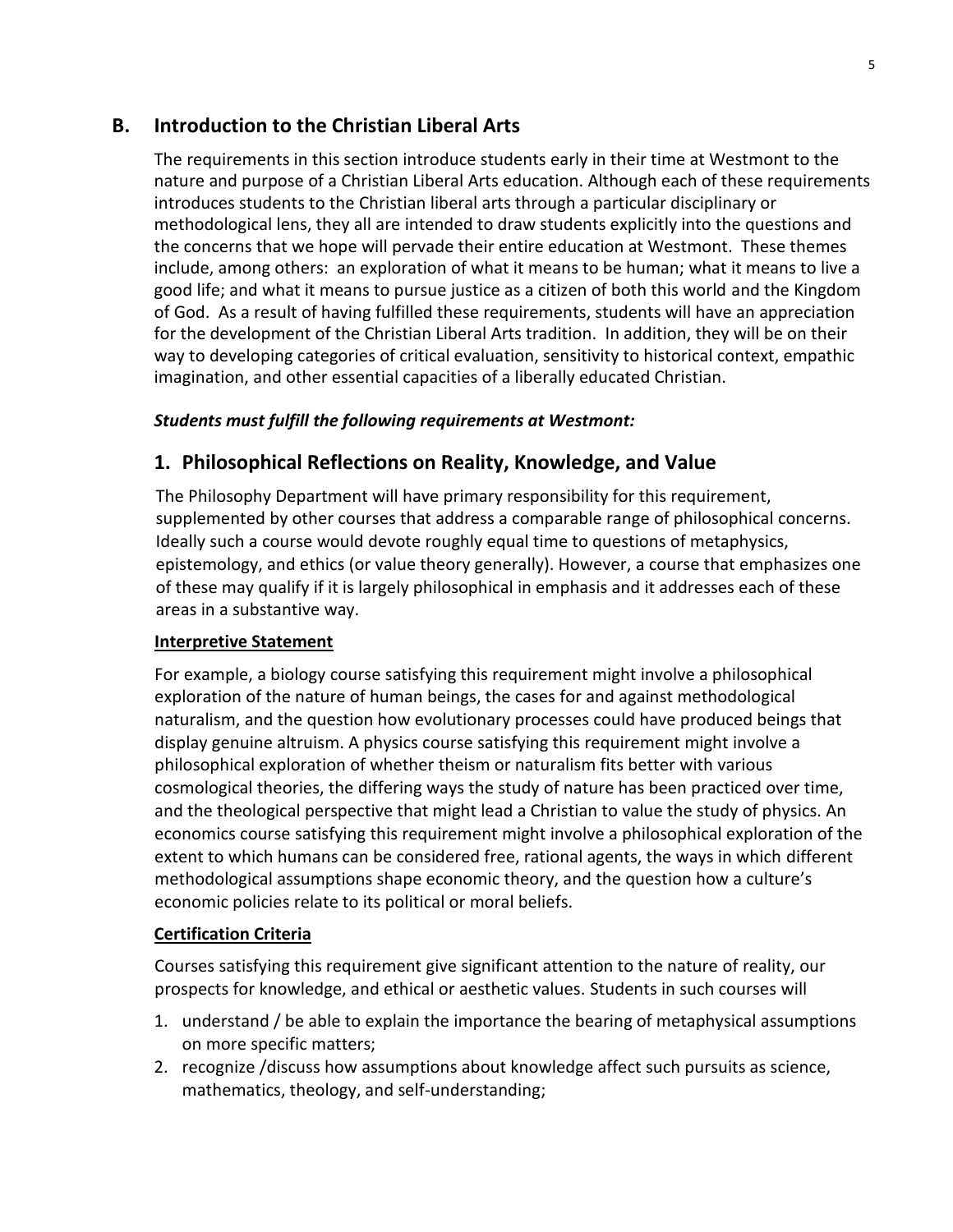## **B. Introduction to the Christian Liberal Arts**

The requirements in this section introduce students early in their time at Westmont to the nature and purpose of a Christian Liberal Arts education. Although each of these requirements introduces students to the Christian liberal arts through a particular disciplinary or methodological lens, they all are intended to draw students explicitly into the questions and the concerns that we hope will pervade their entire education at Westmont. These themes include, among others: an exploration of what it means to be human; what it means to live a good life; and what it means to pursue justice as a citizen of both this world and the Kingdom of God. As a result of having fulfilled these requirements, students will have an appreciation for the development of the Christian Liberal Arts tradition. In addition, they will be on their way to developing categories of critical evaluation, sensitivity to historical context, empathic imagination, and other essential capacities of a liberally educated Christian.

#### *Students must fulfill the following requirements at Westmont:*

## **1. Philosophical Reflections on Reality, Knowledge, and Value**

The Philosophy Department will have primary responsibility for this requirement, supplemented by other courses that address a comparable range of philosophical concerns. Ideally such a course would devote roughly equal time to questions of metaphysics, epistemology, and ethics (or value theory generally). However, a course that emphasizes one of these may qualify if it is largely philosophical in emphasis and it addresses each of these areas in a substantive way.

#### **Interpretive Statement**

For example, a biology course satisfying this requirement might involve a philosophical exploration of the nature of human beings, the cases for and against methodological naturalism, and the question how evolutionary processes could have produced beings that display genuine altruism. A physics course satisfying this requirement might involve a philosophical exploration of whether theism or naturalism fits better with various cosmological theories, the differing ways the study of nature has been practiced over time, and the theological perspective that might lead a Christian to value the study of physics. An economics course satisfying this requirement might involve a philosophical exploration of the extent to which humans can be considered free, rational agents, the ways in which different methodological assumptions shape economic theory, and the question how a culture's economic policies relate to its political or moral beliefs.

## **Certification Criteria**

Courses satisfying this requirement give significant attention to the nature of reality, our prospects for knowledge, and ethical or aesthetic values. Students in such courses will

- 1. understand / be able to explain the importance the bearing of metaphysical assumptions on more specific matters;
- 2. recognize /discuss how assumptions about knowledge affect such pursuits as science, mathematics, theology, and self-understanding;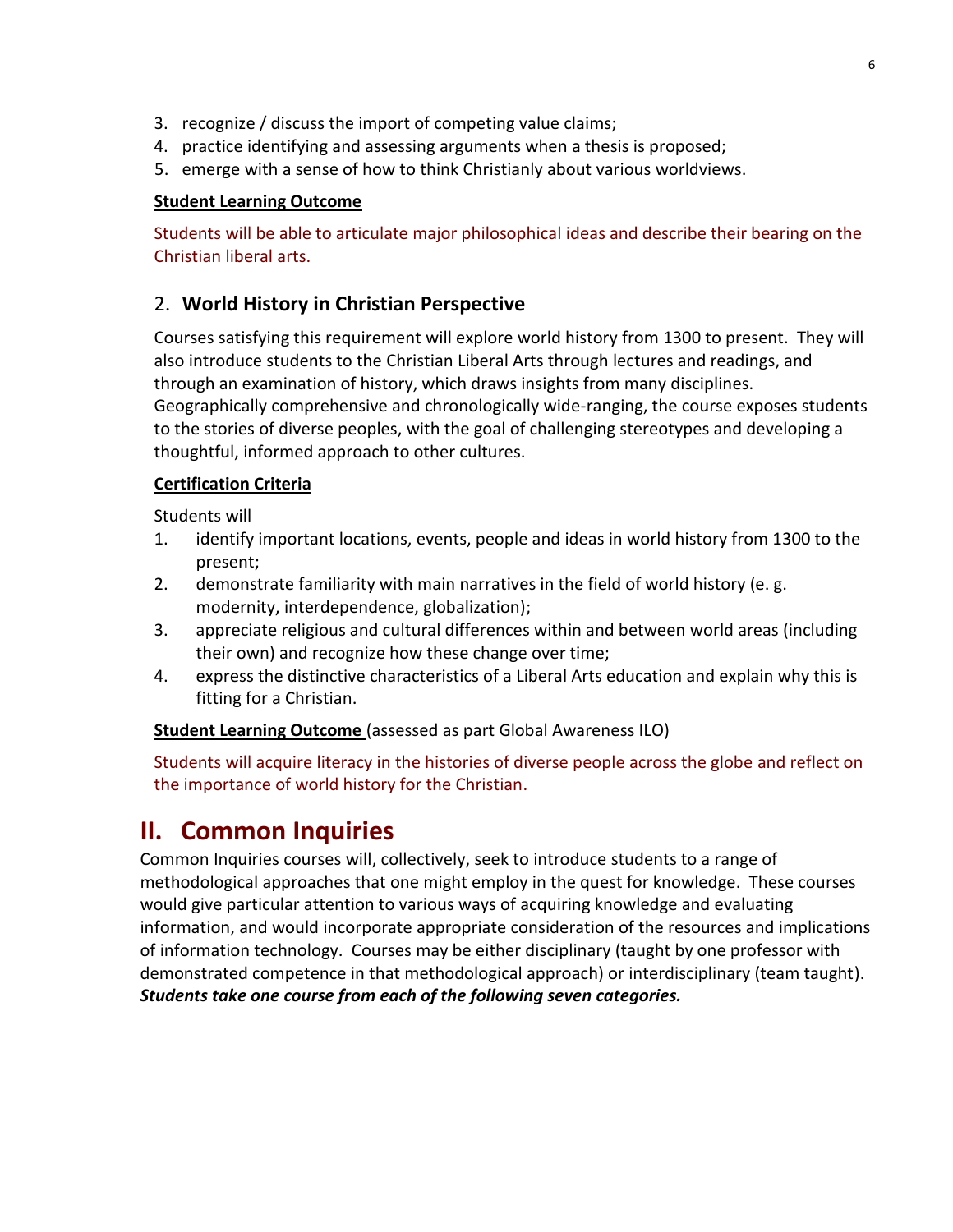- 3. recognize / discuss the import of competing value claims;
- 4. practice identifying and assessing arguments when a thesis is proposed;
- 5. emerge with a sense of how to think Christianly about various worldviews.

## **Student Learning Outcome**

Students will be able to articulate major philosophical ideas and describe their bearing on the Christian liberal arts.

## 2. **World History in Christian Perspective**

Courses satisfying this requirement will explore world history from 1300 to present. They will also introduce students to the Christian Liberal Arts through lectures and readings, and through an examination of history, which draws insights from many disciplines. Geographically comprehensive and chronologically wide-ranging, the course exposes students to the stories of diverse peoples, with the goal of challenging stereotypes and developing a thoughtful, informed approach to other cultures.

## **Certification Criteria**

Students will

- 1. identify important locations, events, people and ideas in world history from 1300 to the present;
- 2. demonstrate familiarity with main narratives in the field of world history (e. g. modernity, interdependence, globalization);
- 3. appreciate religious and cultural differences within and between world areas (including their own) and recognize how these change over time;
- 4. express the distinctive characteristics of a Liberal Arts education and explain why this is fitting for a Christian.

**Student Learning Outcome** (assessed as part Global Awareness ILO)

Students will acquire literacy in the histories of diverse people across the globe and reflect on the importance of world history for the Christian.

# **II. Common Inquiries**

Common Inquiries courses will, collectively, seek to introduce students to a range of methodological approaches that one might employ in the quest for knowledge. These courses would give particular attention to various ways of acquiring knowledge and evaluating information, and would incorporate appropriate consideration of the resources and implications of information technology. Courses may be either disciplinary (taught by one professor with demonstrated competence in that methodological approach) or interdisciplinary (team taught). *Students take one course from each of the following seven categories.*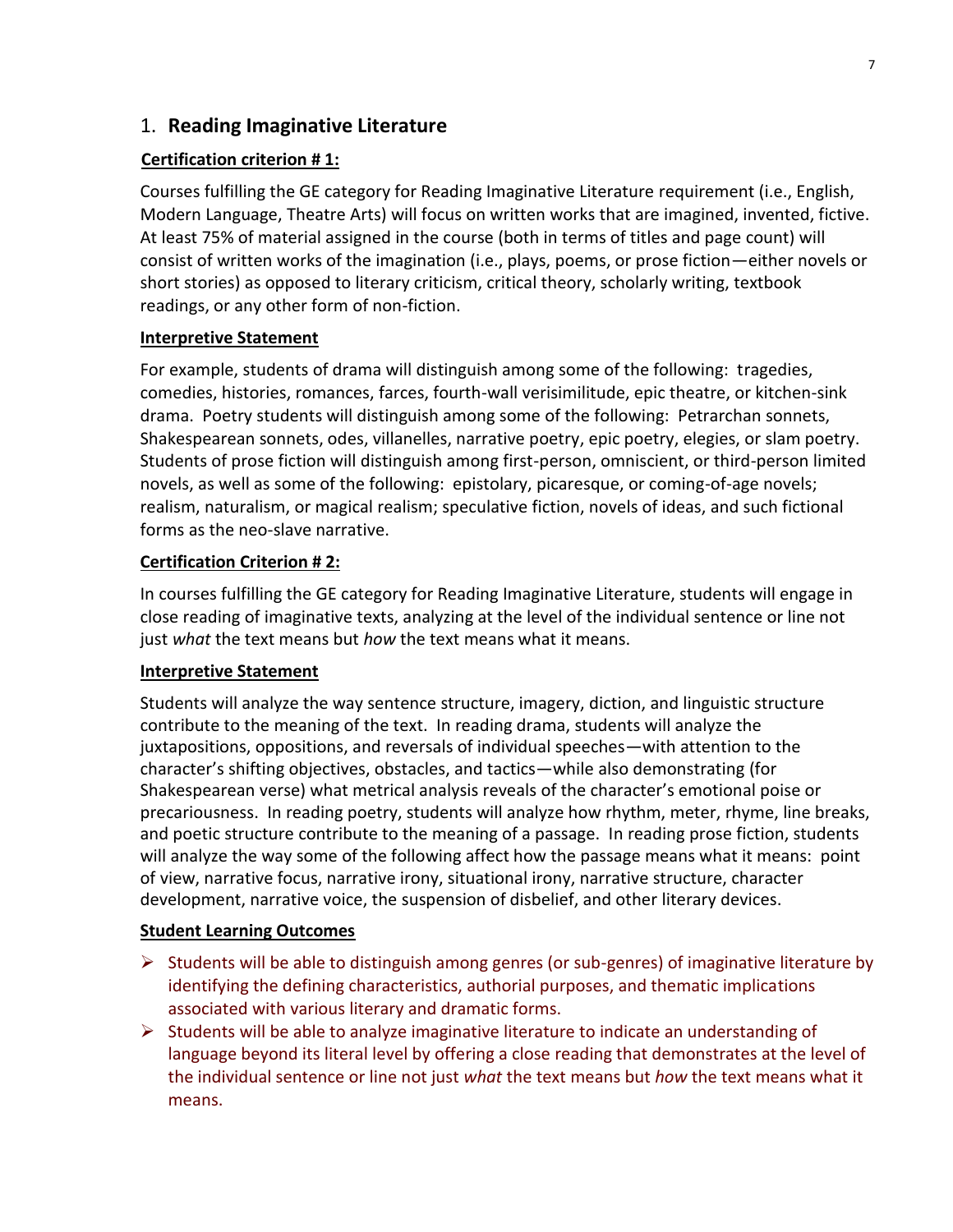## 1. **Reading Imaginative Literature**

## **Certification criterion # 1:**

Courses fulfilling the GE category for Reading Imaginative Literature requirement (i.e., English, Modern Language, Theatre Arts) will focus on written works that are imagined, invented, fictive. At least 75% of material assigned in the course (both in terms of titles and page count) will consist of written works of the imagination (i.e., plays, poems, or prose fiction—either novels or short stories) as opposed to literary criticism, critical theory, scholarly writing, textbook readings, or any other form of non-fiction.

## **Interpretive Statement**

For example, students of drama will distinguish among some of the following: tragedies, comedies, histories, romances, farces, fourth-wall verisimilitude, epic theatre, or kitchen-sink drama. Poetry students will distinguish among some of the following: Petrarchan sonnets, Shakespearean sonnets, odes, villanelles, narrative poetry, epic poetry, elegies, or slam poetry. Students of prose fiction will distinguish among first-person, omniscient, or third-person limited novels, as well as some of the following: epistolary, picaresque, or coming-of-age novels; realism, naturalism, or magical realism; speculative fiction, novels of ideas, and such fictional forms as the neo-slave narrative.

## **Certification Criterion # 2:**

In courses fulfilling the GE category for Reading Imaginative Literature, students will engage in close reading of imaginative texts, analyzing at the level of the individual sentence or line not just *what* the text means but *how* the text means what it means.

## **Interpretive Statement**

Students will analyze the way sentence structure, imagery, diction, and linguistic structure contribute to the meaning of the text. In reading drama, students will analyze the juxtapositions, oppositions, and reversals of individual speeches—with attention to the character's shifting objectives, obstacles, and tactics—while also demonstrating (for Shakespearean verse) what metrical analysis reveals of the character's emotional poise or precariousness. In reading poetry, students will analyze how rhythm, meter, rhyme, line breaks, and poetic structure contribute to the meaning of a passage. In reading prose fiction, students will analyze the way some of the following affect how the passage means what it means: point of view, narrative focus, narrative irony, situational irony, narrative structure, character development, narrative voice, the suspension of disbelief, and other literary devices.

## **Student Learning Outcomes**

- $\triangleright$  Students will be able to distinguish among genres (or sub-genres) of imaginative literature by identifying the defining characteristics, authorial purposes, and thematic implications associated with various literary and dramatic forms.
- $\triangleright$  Students will be able to analyze imaginative literature to indicate an understanding of language beyond its literal level by offering a close reading that demonstrates at the level of the individual sentence or line not just *what* the text means but *how* the text means what it means.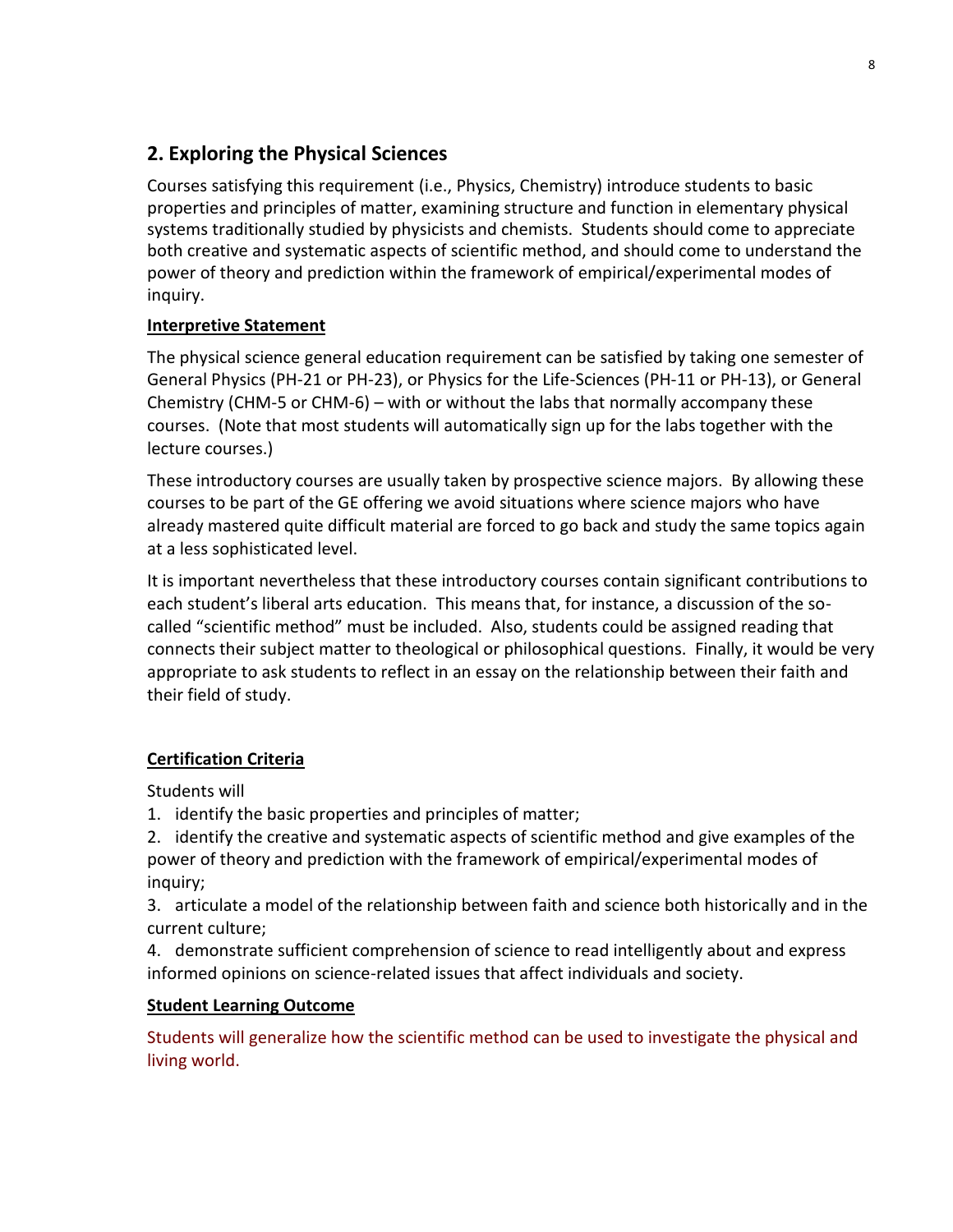## **2. Exploring the Physical Sciences**

Courses satisfying this requirement (i.e., Physics, Chemistry) introduce students to basic properties and principles of matter, examining structure and function in elementary physical systems traditionally studied by physicists and chemists. Students should come to appreciate both creative and systematic aspects of scientific method, and should come to understand the power of theory and prediction within the framework of empirical/experimental modes of inquiry.

## **Interpretive Statement**

The physical science general education requirement can be satisfied by taking one semester of General Physics (PH-21 or PH-23), or Physics for the Life-Sciences (PH-11 or PH-13), or General Chemistry (CHM-5 or CHM-6) – with or without the labs that normally accompany these courses. (Note that most students will automatically sign up for the labs together with the lecture courses.)

These introductory courses are usually taken by prospective science majors. By allowing these courses to be part of the GE offering we avoid situations where science majors who have already mastered quite difficult material are forced to go back and study the same topics again at a less sophisticated level.

It is important nevertheless that these introductory courses contain significant contributions to each student's liberal arts education. This means that, for instance, a discussion of the socalled "scientific method" must be included. Also, students could be assigned reading that connects their subject matter to theological or philosophical questions. Finally, it would be very appropriate to ask students to reflect in an essay on the relationship between their faith and their field of study.

## **Certification Criteria**

Students will

- 1. identify the basic properties and principles of matter;
- 2. identify the creative and systematic aspects of scientific method and give examples of the power of theory and prediction with the framework of empirical/experimental modes of inquiry;

3. articulate a model of the relationship between faith and science both historically and in the current culture;

4. demonstrate sufficient comprehension of science to read intelligently about and express informed opinions on science-related issues that affect individuals and society.

## **Student Learning Outcome**

Students will generalize how the scientific method can be used to investigate the physical and living world.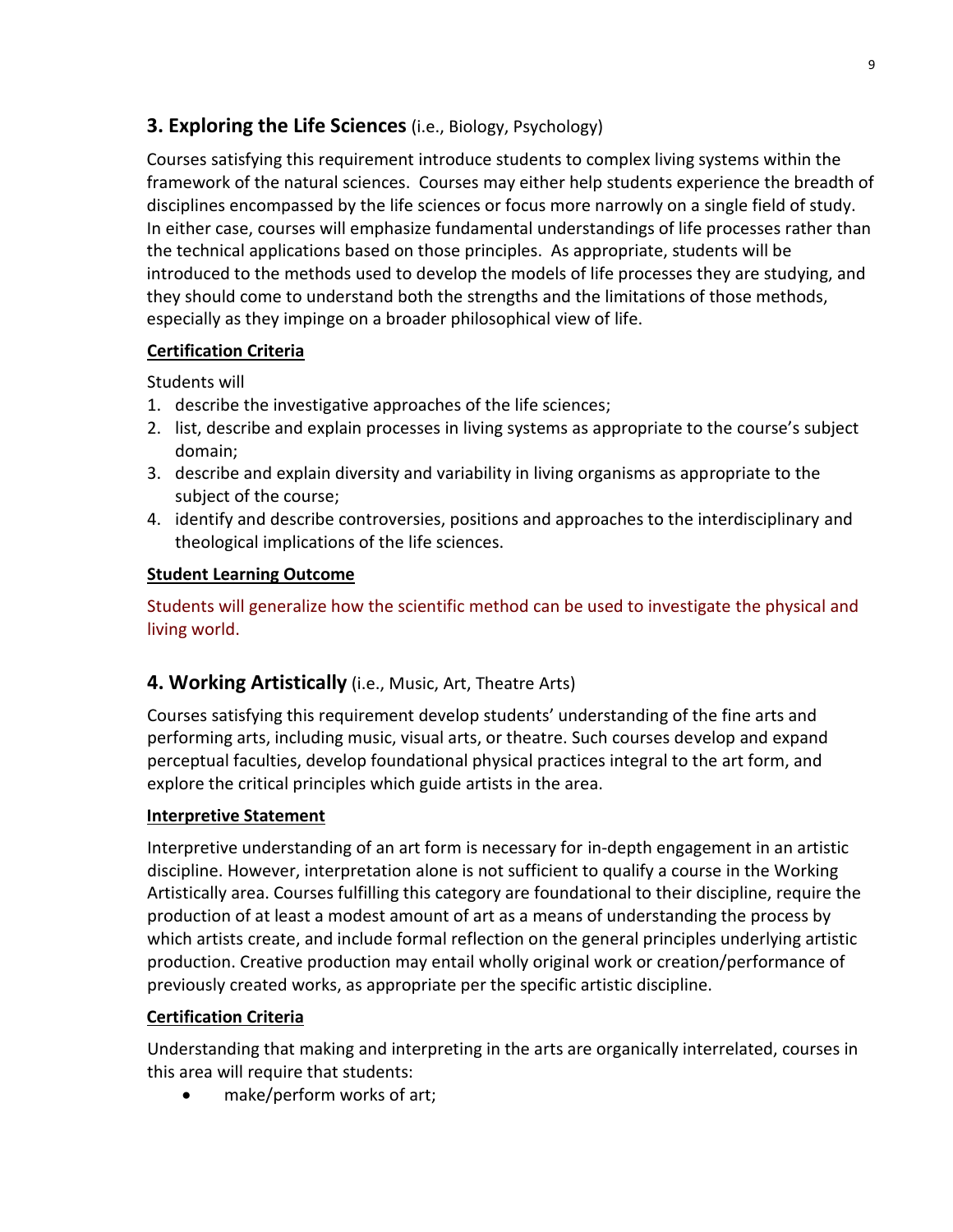## **3. Exploring the Life Sciences** (i.e., Biology, Psychology)

Courses satisfying this requirement introduce students to complex living systems within the framework of the natural sciences. Courses may either help students experience the breadth of disciplines encompassed by the life sciences or focus more narrowly on a single field of study. In either case, courses will emphasize fundamental understandings of life processes rather than the technical applications based on those principles. As appropriate, students will be introduced to the methods used to develop the models of life processes they are studying, and they should come to understand both the strengths and the limitations of those methods, especially as they impinge on a broader philosophical view of life.

## **Certification Criteria**

Students will

- 1. describe the investigative approaches of the life sciences;
- 2. list, describe and explain processes in living systems as appropriate to the course's subject domain;
- 3. describe and explain diversity and variability in living organisms as appropriate to the subject of the course;
- 4. identify and describe controversies, positions and approaches to the interdisciplinary and theological implications of the life sciences.

## **Student Learning Outcome**

Students will generalize how the scientific method can be used to investigate the physical and living world.

## **4. Working Artistically** (i.e., Music, Art, Theatre Arts)

Courses satisfying this requirement develop students' understanding of the fine arts and performing arts, including music, visual arts, or theatre. Such courses develop and expand perceptual faculties, develop foundational physical practices integral to the art form, and explore the critical principles which guide artists in the area.

## **Interpretive Statement**

Interpretive understanding of an art form is necessary for in-depth engagement in an artistic discipline. However, interpretation alone is not sufficient to qualify a course in the Working Artistically area. Courses fulfilling this category are foundational to their discipline, require the production of at least a modest amount of art as a means of understanding the process by which artists create, and include formal reflection on the general principles underlying artistic production. Creative production may entail wholly original work or creation/performance of previously created works, as appropriate per the specific artistic discipline.

## **Certification Criteria**

Understanding that making and interpreting in the arts are organically interrelated, courses in this area will require that students:

• make/perform works of art;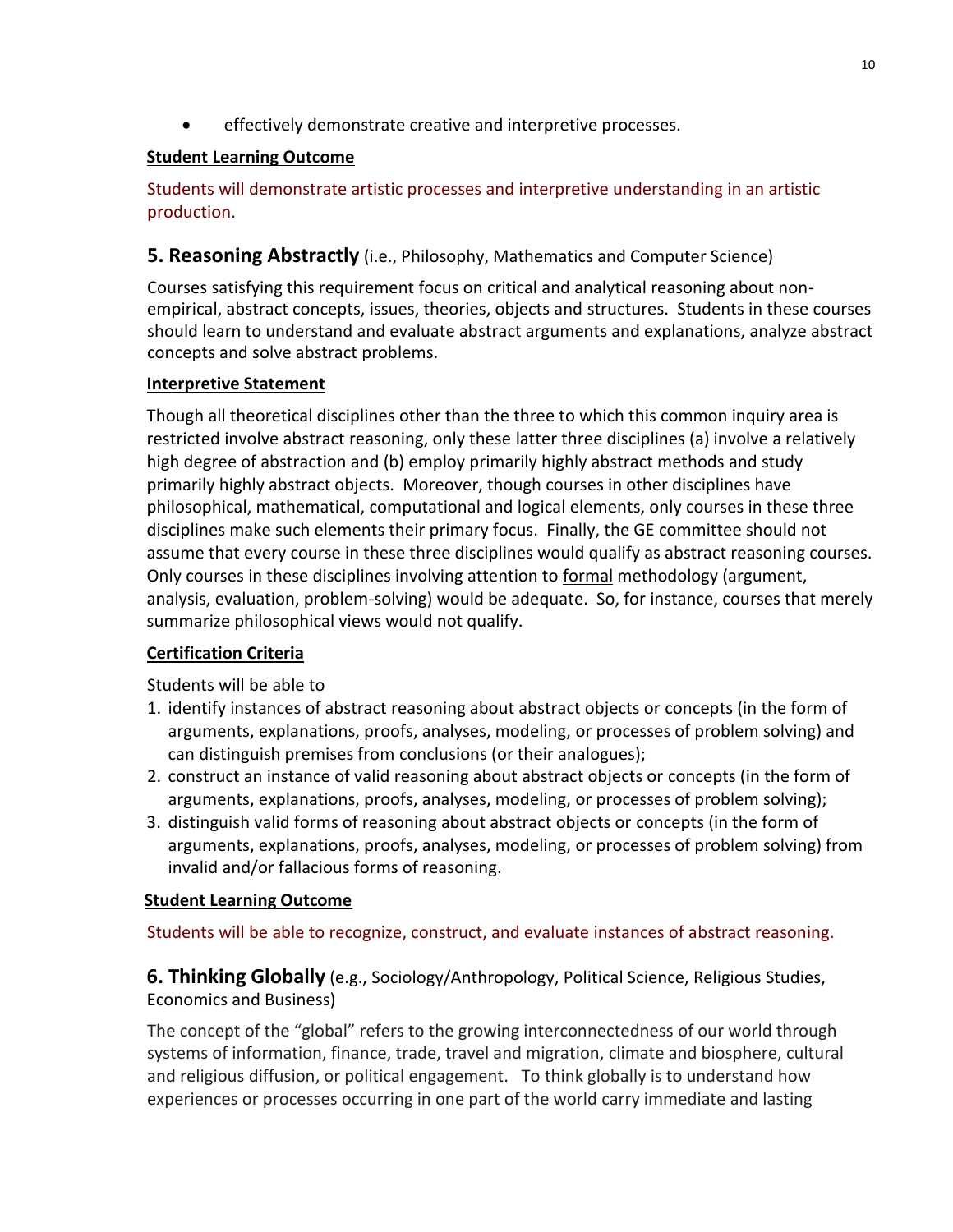effectively demonstrate creative and interpretive processes.

## **Student Learning Outcome**

Students will demonstrate artistic processes and interpretive understanding in an artistic production.

## **5. Reasoning Abstractly** (i.e., Philosophy, Mathematics and Computer Science)

Courses satisfying this requirement focus on critical and analytical reasoning about nonempirical, abstract concepts, issues, theories, objects and structures. Students in these courses should learn to understand and evaluate abstract arguments and explanations, analyze abstract concepts and solve abstract problems.

## **Interpretive Statement**

Though all theoretical disciplines other than the three to which this common inquiry area is restricted involve abstract reasoning, only these latter three disciplines (a) involve a relatively high degree of abstraction and (b) employ primarily highly abstract methods and study primarily highly abstract objects. Moreover, though courses in other disciplines have philosophical, mathematical, computational and logical elements, only courses in these three disciplines make such elements their primary focus. Finally, the GE committee should not assume that every course in these three disciplines would qualify as abstract reasoning courses. Only courses in these disciplines involving attention to formal methodology (argument, analysis, evaluation, problem-solving) would be adequate. So, for instance, courses that merely summarize philosophical views would not qualify.

## **Certification Criteria**

Students will be able to

- 1. identify instances of abstract reasoning about abstract objects or concepts (in the form of arguments, explanations, proofs, analyses, modeling, or processes of problem solving) and can distinguish premises from conclusions (or their analogues);
- 2. construct an instance of valid reasoning about abstract objects or concepts (in the form of arguments, explanations, proofs, analyses, modeling, or processes of problem solving);
- 3. distinguish valid forms of reasoning about abstract objects or concepts (in the form of arguments, explanations, proofs, analyses, modeling, or processes of problem solving) from invalid and/or fallacious forms of reasoning.

## **Student Learning Outcome**

Students will be able to recognize, construct, and evaluate instances of abstract reasoning.

**6. Thinking Globally** (e.g., Sociology/Anthropology, Political Science, Religious Studies, Economics and Business)

The concept of the "global" refers to the growing interconnectedness of our world through systems of information, finance, trade, travel and migration, climate and biosphere, cultural and religious diffusion, or political engagement. To think globally is to understand how experiences or processes occurring in one part of the world carry immediate and lasting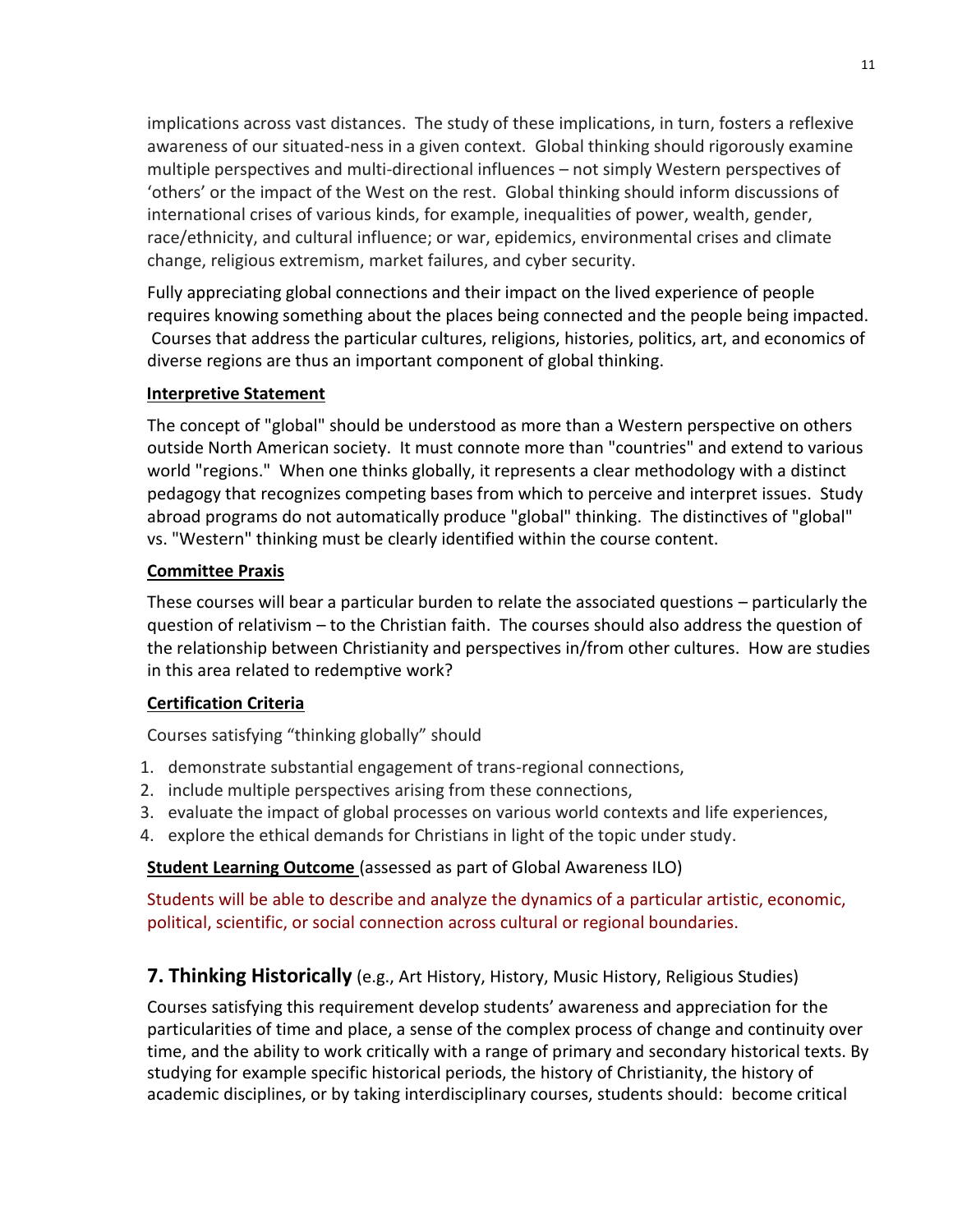implications across vast distances. The study of these implications, in turn, fosters a reflexive awareness of our situated-ness in a given context. Global thinking should rigorously examine multiple perspectives and multi-directional influences – not simply Western perspectives of 'others' or the impact of the West on the rest. Global thinking should inform discussions of international crises of various kinds, for example, inequalities of power, wealth, gender, race/ethnicity, and cultural influence; or war, epidemics, environmental crises and climate change, religious extremism, market failures, and cyber security.

Fully appreciating global connections and their impact on the lived experience of people requires knowing something about the places being connected and the people being impacted. Courses that address the particular cultures, religions, histories, politics, art, and economics of diverse regions are thus an important component of global thinking.

#### **Interpretive Statement**

The concept of "global" should be understood as more than a Western perspective on others outside North American society. It must connote more than "countries" and extend to various world "regions." When one thinks globally, it represents a clear methodology with a distinct pedagogy that recognizes competing bases from which to perceive and interpret issues. Study abroad programs do not automatically produce "global" thinking. The distinctives of "global" vs. "Western" thinking must be clearly identified within the course content.

#### **Committee Praxis**

These courses will bear a particular burden to relate the associated questions – particularly the question of relativism – to the Christian faith. The courses should also address the question of the relationship between Christianity and perspectives in/from other cultures. How are studies in this area related to redemptive work?

#### **Certification Criteria**

Courses satisfying "thinking globally" should

- 1. demonstrate substantial engagement of trans-regional connections,
- 2. include multiple perspectives arising from these connections,
- 3. evaluate the impact of global processes on various world contexts and life experiences,
- 4. explore the ethical demands for Christians in light of the topic under study.

#### **Student Learning Outcome** (assessed as part of Global Awareness ILO)

Students will be able to describe and analyze the dynamics of a particular artistic, economic, political, scientific, or social connection across cultural or regional boundaries.

## **7. Thinking Historically** (e.g., Art History, History, Music History, Religious Studies)

Courses satisfying this requirement develop students' awareness and appreciation for the particularities of time and place, a sense of the complex process of change and continuity over time, and the ability to work critically with a range of primary and secondary historical texts. By studying for example specific historical periods, the history of Christianity, the history of academic disciplines, or by taking interdisciplinary courses, students should: become critical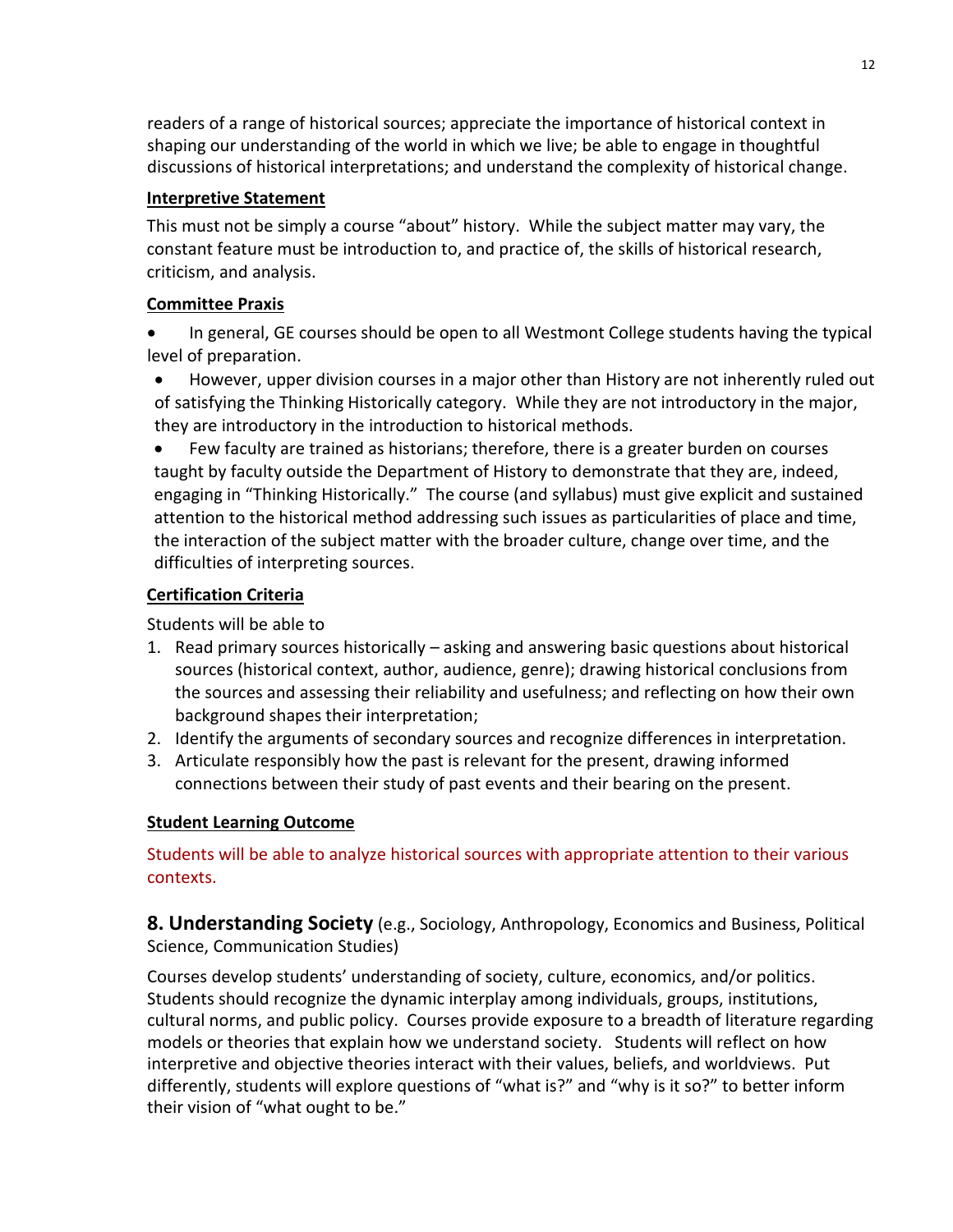readers of a range of historical sources; appreciate the importance of historical context in shaping our understanding of the world in which we live; be able to engage in thoughtful discussions of historical interpretations; and understand the complexity of historical change.

## **Interpretive Statement**

This must not be simply a course "about" history. While the subject matter may vary, the constant feature must be introduction to, and practice of, the skills of historical research, criticism, and analysis.

## **Committee Praxis**

- In general, GE courses should be open to all Westmont College students having the typical level of preparation.
- However, upper division courses in a major other than History are not inherently ruled out of satisfying the Thinking Historically category. While they are not introductory in the major, they are introductory in the introduction to historical methods.
- Few faculty are trained as historians; therefore, there is a greater burden on courses taught by faculty outside the Department of History to demonstrate that they are, indeed, engaging in "Thinking Historically." The course (and syllabus) must give explicit and sustained attention to the historical method addressing such issues as particularities of place and time, the interaction of the subject matter with the broader culture, change over time, and the difficulties of interpreting sources.

## **Certification Criteria**

Students will be able to

- 1. Read primary sources historically asking and answering basic questions about historical sources (historical context, author, audience, genre); drawing historical conclusions from the sources and assessing their reliability and usefulness; and reflecting on how their own background shapes their interpretation;
- 2. Identify the arguments of secondary sources and recognize differences in interpretation.
- 3. Articulate responsibly how the past is relevant for the present, drawing informed connections between their study of past events and their bearing on the present.

## **Student Learning Outcome**

Students will be able to analyze historical sources with appropriate attention to their various contexts.

**8. Understanding Society** (e.g., Sociology, Anthropology, Economics and Business, Political Science, Communication Studies)

Courses develop students' understanding of society, culture, economics, and/or politics. Students should recognize the dynamic interplay among individuals, groups, institutions, cultural norms, and public policy. Courses provide exposure to a breadth of literature regarding models or theories that explain how we understand society. Students will reflect on how interpretive and objective theories interact with their values, beliefs, and worldviews. Put differently, students will explore questions of "what is?" and "why is it so?" to better inform their vision of "what ought to be."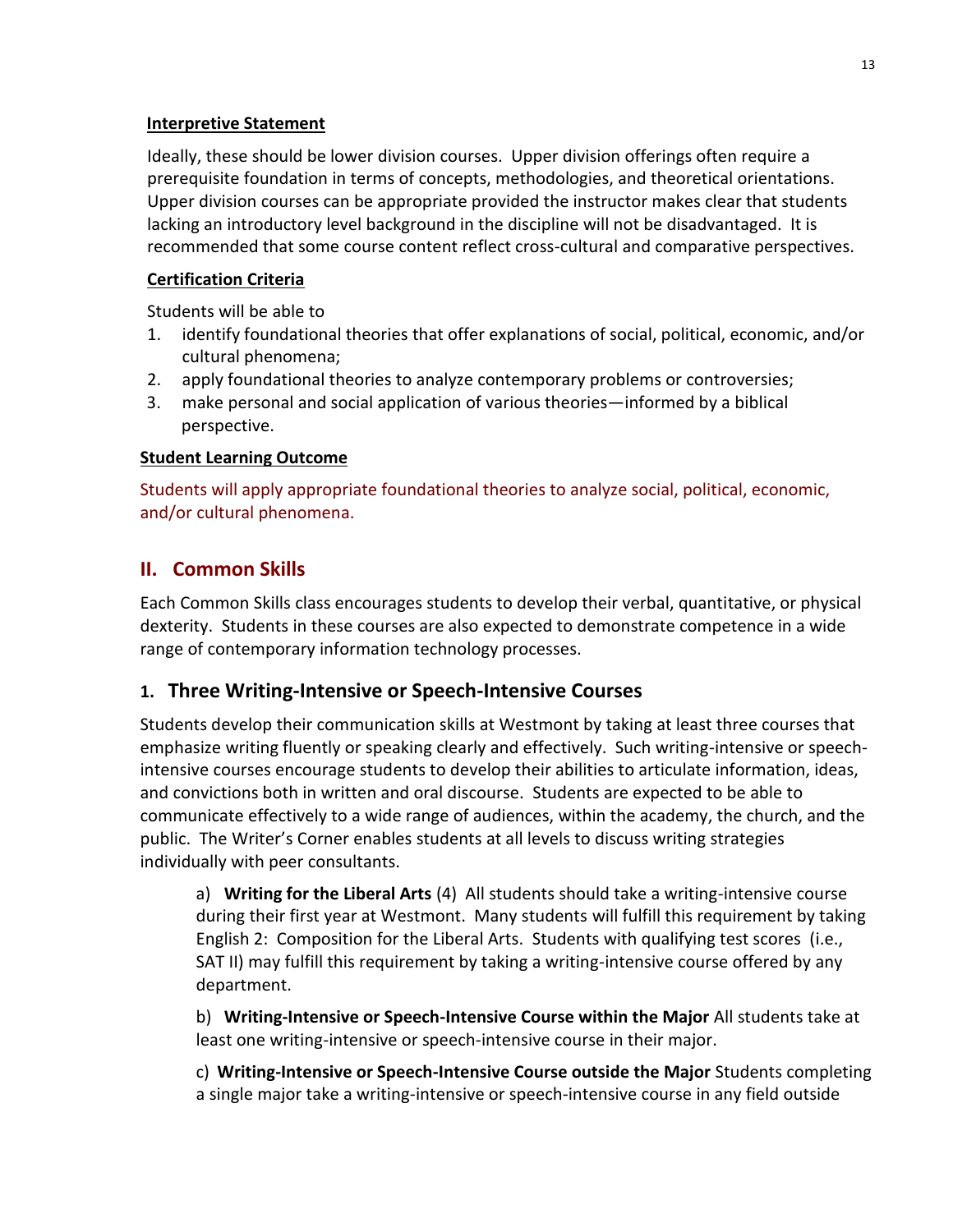#### **Interpretive Statement**

Ideally, these should be lower division courses. Upper division offerings often require a prerequisite foundation in terms of concepts, methodologies, and theoretical orientations. Upper division courses can be appropriate provided the instructor makes clear that students lacking an introductory level background in the discipline will not be disadvantaged. It is recommended that some course content reflect cross-cultural and comparative perspectives.

## **Certification Criteria**

Students will be able to

- 1. identify foundational theories that offer explanations of social, political, economic, and/or cultural phenomena;
- 2. apply foundational theories to analyze contemporary problems or controversies;
- 3. make personal and social application of various theories—informed by a biblical perspective.

## **Student Learning Outcome**

Students will apply appropriate foundational theories to analyze social, political, economic, and/or cultural phenomena.

## **II. Common Skills**

Each Common Skills class encourages students to develop their verbal, quantitative, or physical dexterity. Students in these courses are also expected to demonstrate competence in a wide range of contemporary information technology processes.

## **1. Three Writing-Intensive or Speech-Intensive Courses**

Students develop their communication skills at Westmont by taking at least three courses that emphasize writing fluently or speaking clearly and effectively. Such writing-intensive or speechintensive courses encourage students to develop their abilities to articulate information, ideas, and convictions both in written and oral discourse. Students are expected to be able to communicate effectively to a wide range of audiences, within the academy, the church, and the public. The Writer's Corner enables students at all levels to discuss writing strategies individually with peer consultants.

a) **Writing for the Liberal Arts** (4) All students should take a writing-intensive course during their first year at Westmont. Many students will fulfill this requirement by taking English 2: Composition for the Liberal Arts. Students with qualifying test scores (i.e., SAT II) may fulfill this requirement by taking a writing-intensive course offered by any department.

b) **Writing-Intensive or Speech-Intensive Course within the Major** All students take at least one writing-intensive or speech-intensive course in their major.

c) **Writing-Intensive or Speech-Intensive Course outside the Major** Students completing a single major take a writing-intensive or speech-intensive course in any field outside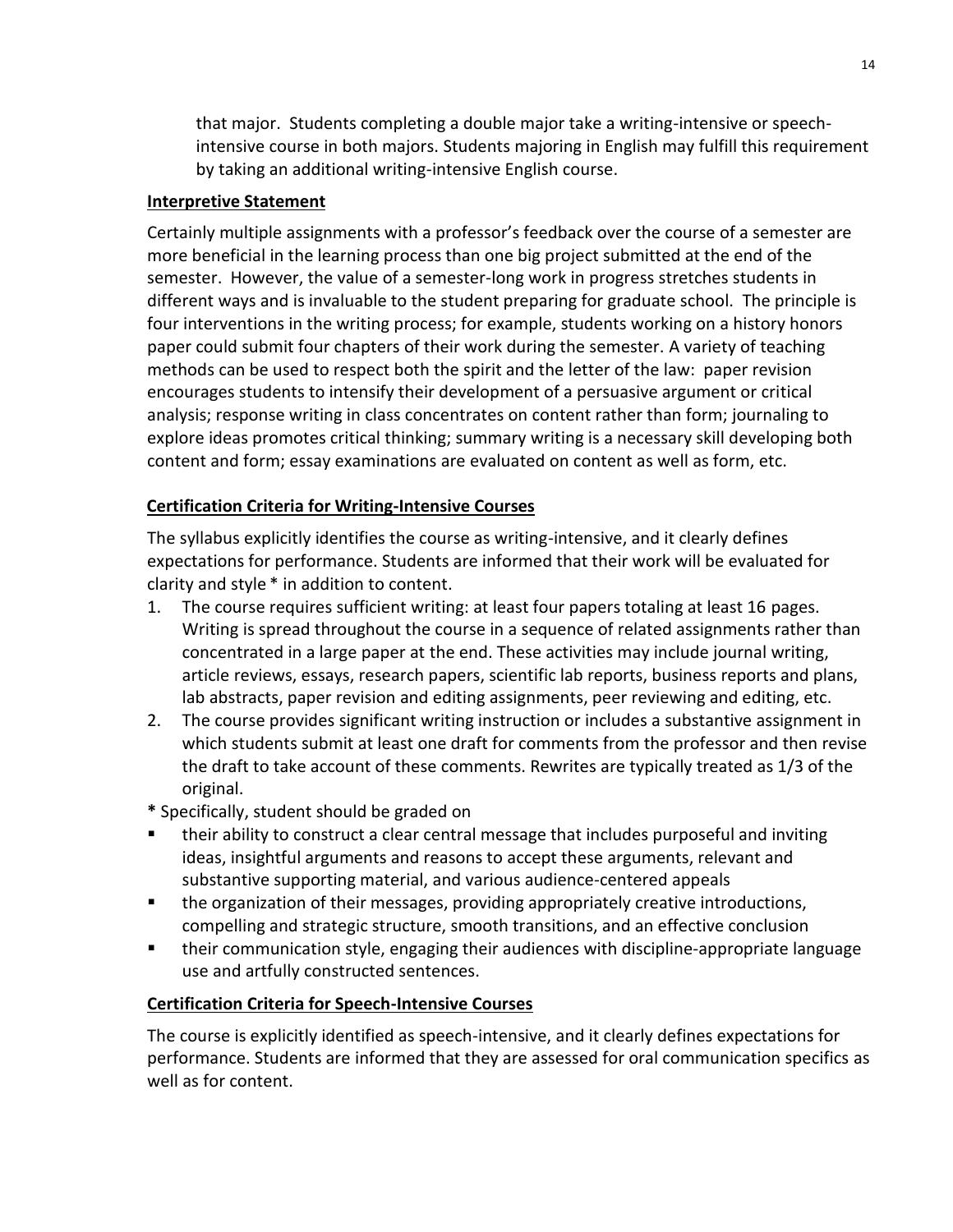that major. Students completing a double major take a writing-intensive or speechintensive course in both majors. Students majoring in English may fulfill this requirement by taking an additional writing-intensive English course.

#### **Interpretive Statement**

Certainly multiple assignments with a professor's feedback over the course of a semester are more beneficial in the learning process than one big project submitted at the end of the semester. However, the value of a semester-long work in progress stretches students in different ways and is invaluable to the student preparing for graduate school. The principle is four interventions in the writing process; for example, students working on a history honors paper could submit four chapters of their work during the semester. A variety of teaching methods can be used to respect both the spirit and the letter of the law: paper revision encourages students to intensify their development of a persuasive argument or critical analysis; response writing in class concentrates on content rather than form; journaling to explore ideas promotes critical thinking; summary writing is a necessary skill developing both content and form; essay examinations are evaluated on content as well as form, etc.

## **Certification Criteria for Writing-Intensive Courses**

The syllabus explicitly identifies the course as writing-intensive, and it clearly defines expectations for performance. Students are informed that their work will be evaluated for clarity and style \* in addition to content.

- 1. The course requires sufficient writing: at least four papers totaling at least 16 pages. Writing is spread throughout the course in a sequence of related assignments rather than concentrated in a large paper at the end. These activities may include journal writing, article reviews, essays, research papers, scientific lab reports, business reports and plans, lab abstracts, paper revision and editing assignments, peer reviewing and editing, etc.
- 2. The course provides significant writing instruction or includes a substantive assignment in which students submit at least one draft for comments from the professor and then revise the draft to take account of these comments. Rewrites are typically treated as 1/3 of the original.
- **\*** Specifically, student should be graded on
- their ability to construct a clear central message that includes purposeful and inviting ideas, insightful arguments and reasons to accept these arguments, relevant and substantive supporting material, and various audience-centered appeals
- the organization of their messages, providing appropriately creative introductions, compelling and strategic structure, smooth transitions, and an effective conclusion
- their communication style, engaging their audiences with discipline-appropriate language use and artfully constructed sentences.

## **Certification Criteria for Speech-Intensive Courses**

The course is explicitly identified as speech-intensive, and it clearly defines expectations for performance. Students are informed that they are assessed for oral communication specifics as well as for content.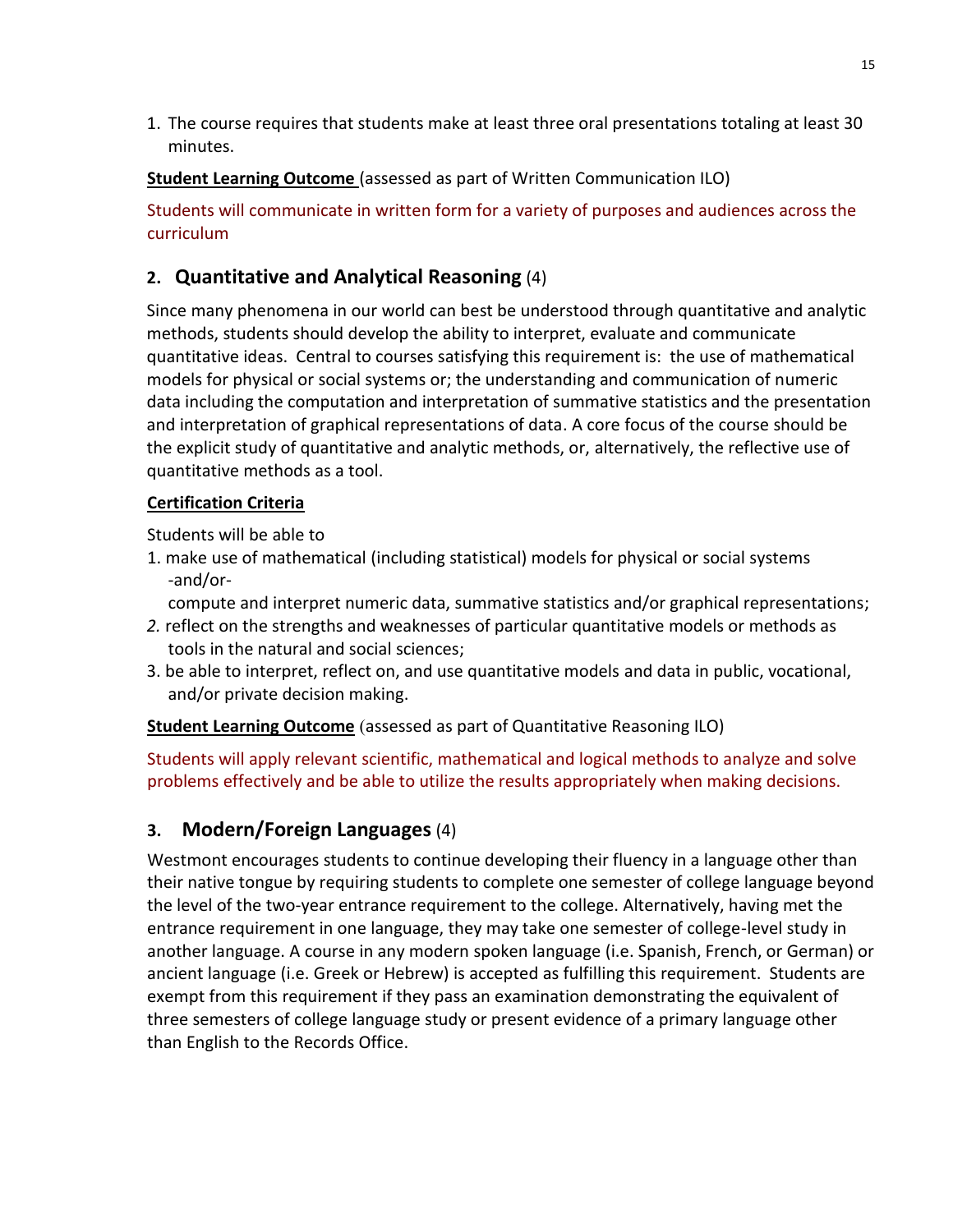1. The course requires that students make at least three oral presentations totaling at least 30 minutes.

**Student Learning Outcome** (assessed as part of Written Communication ILO)

Students will communicate in written form for a variety of purposes and audiences across the curriculum

## **2. Quantitative and Analytical Reasoning** (4)

Since many phenomena in our world can best be understood through quantitative and analytic methods, students should develop the ability to interpret, evaluate and communicate quantitative ideas. Central to courses satisfying this requirement is: the use of mathematical models for physical or social systems or; the understanding and communication of numeric data including the computation and interpretation of summative statistics and the presentation and interpretation of graphical representations of data. A core focus of the course should be the explicit study of quantitative and analytic methods, or, alternatively, the reflective use of quantitative methods as a tool.

## **Certification Criteria**

Students will be able to

1. make use of mathematical (including statistical) models for physical or social systems -and/or-

compute and interpret numeric data, summative statistics and/or graphical representations;

- *2.* reflect on the strengths and weaknesses of particular quantitative models or methods as tools in the natural and social sciences;
- 3. be able to interpret, reflect on, and use quantitative models and data in public, vocational, and/or private decision making.

**Student Learning Outcome** (assessed as part of Quantitative Reasoning ILO)

Students will apply relevant scientific, mathematical and logical methods to analyze and solve problems effectively and be able to utilize the results appropriately when making decisions.

## **3. Modern/Foreign Languages** (4)

Westmont encourages students to continue developing their fluency in a language other than their native tongue by requiring students to complete one semester of college language beyond the level of the two-year entrance requirement to the college. Alternatively, having met the entrance requirement in one language, they may take one semester of college-level study in another language. A course in any modern spoken language (i.e. Spanish, French, or German) or ancient language (i.e. Greek or Hebrew) is accepted as fulfilling this requirement. Students are exempt from this requirement if they pass an examination demonstrating the equivalent of three semesters of college language study or present evidence of a primary language other than English to the Records Office.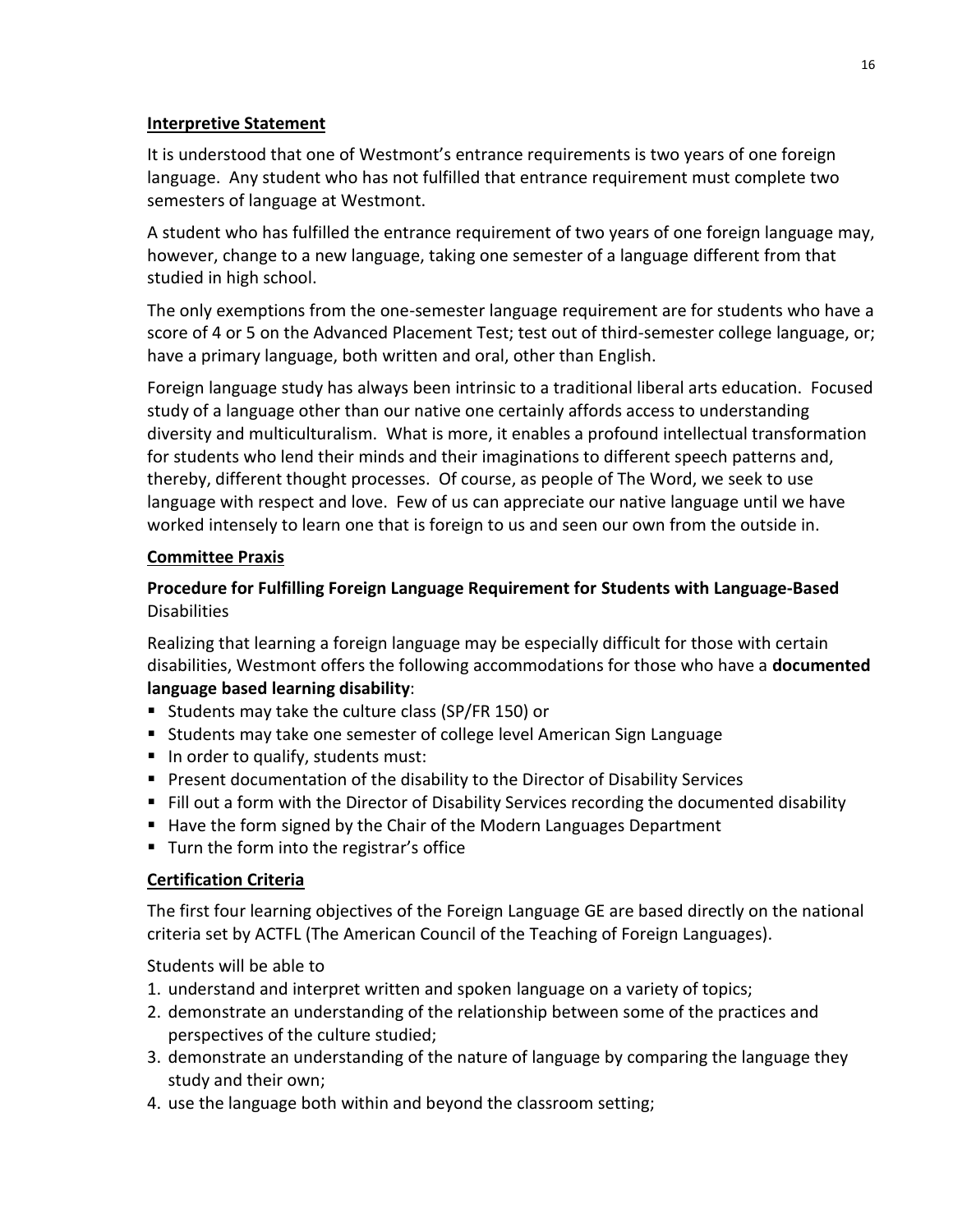#### **Interpretive Statement**

It is understood that one of Westmont's entrance requirements is two years of one foreign language. Any student who has not fulfilled that entrance requirement must complete two semesters of language at Westmont.

A student who has fulfilled the entrance requirement of two years of one foreign language may, however, change to a new language, taking one semester of a language different from that studied in high school.

The only exemptions from the one-semester language requirement are for students who have a score of 4 or 5 on the Advanced Placement Test; test out of third-semester college language, or; have a primary language, both written and oral, other than English.

Foreign language study has always been intrinsic to a traditional liberal arts education. Focused study of a language other than our native one certainly affords access to understanding diversity and multiculturalism. What is more, it enables a profound intellectual transformation for students who lend their minds and their imaginations to different speech patterns and, thereby, different thought processes. Of course, as people of The Word, we seek to use language with respect and love. Few of us can appreciate our native language until we have worked intensely to learn one that is foreign to us and seen our own from the outside in.

## **Committee Praxis**

## **Procedure for Fulfilling Foreign Language Requirement for Students with Language-Based**  Disabilities

Realizing that learning a foreign language may be especially difficult for those with certain disabilities, Westmont offers the following accommodations for those who have a **documented language based learning disability**:

- Students may take the culture class (SP/FR 150) or
- Students may take one semester of college level American Sign Language
- $\blacksquare$  In order to qualify, students must:
- **Present documentation of the disability to the Director of Disability Services**
- Fill out a form with the Director of Disability Services recording the documented disability
- Have the form signed by the Chair of the Modern Languages Department
- **Turn the form into the registrar's office**

## **Certification Criteria**

The first four learning objectives of the Foreign Language GE are based directly on the national criteria set by ACTFL (The American Council of the Teaching of Foreign Languages).

Students will be able to

- 1. understand and interpret written and spoken language on a variety of topics;
- 2. demonstrate an understanding of the relationship between some of the practices and perspectives of the culture studied;
- 3. demonstrate an understanding of the nature of language by comparing the language they study and their own;
- 4. use the language both within and beyond the classroom setting;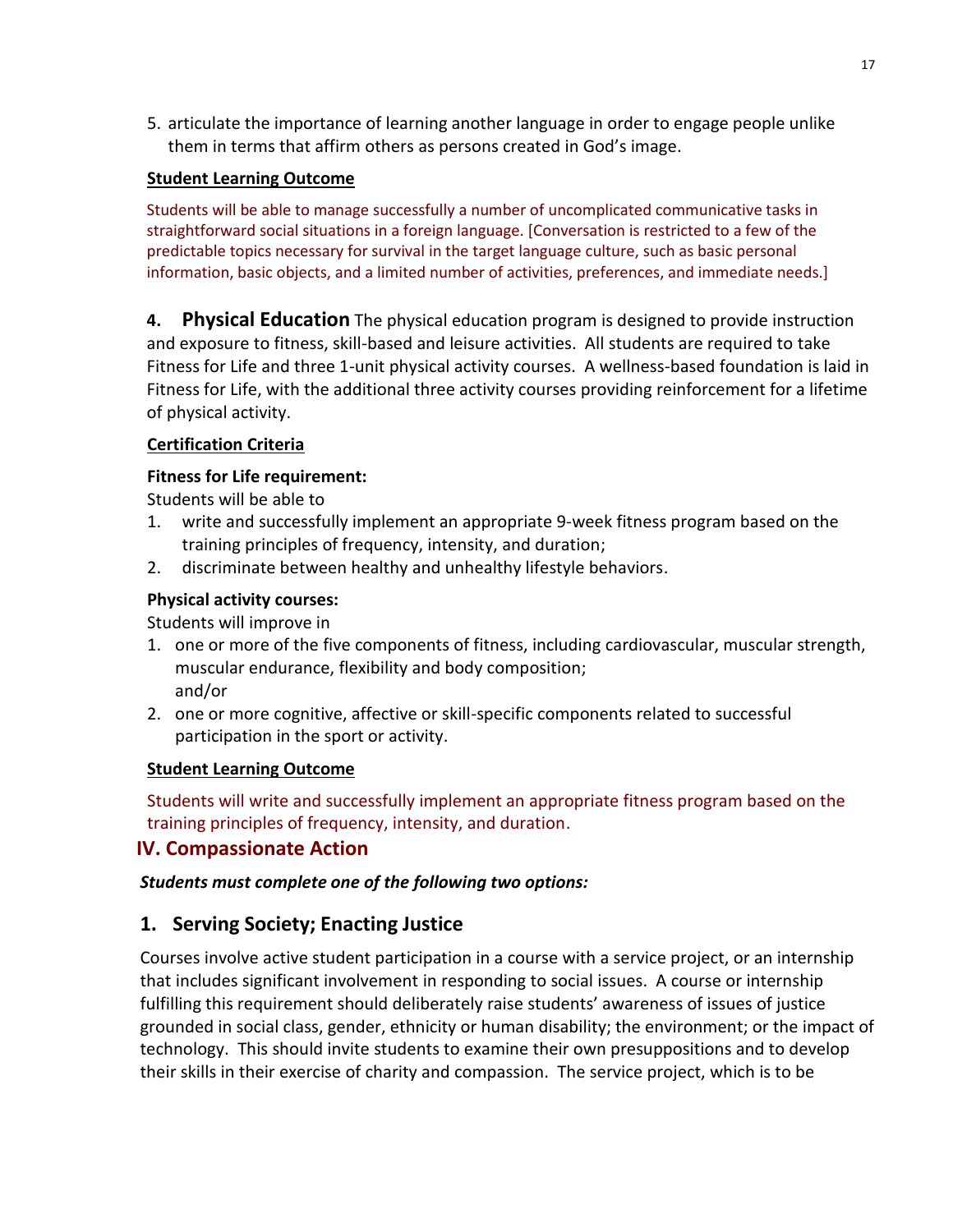5. articulate the importance of learning another language in order to engage people unlike them in terms that affirm others as persons created in God's image.

#### **Student Learning Outcome**

Students will be able to manage successfully a number of uncomplicated communicative tasks in straightforward social situations in a foreign language. [Conversation is restricted to a few of the predictable topics necessary for survival in the target language culture, such as basic personal information, basic objects, and a limited number of activities, preferences, and immediate needs.]

**4. Physical Education** The physical education program is designed to provide instruction and exposure to fitness, skill-based and leisure activities. All students are required to take Fitness for Life and three 1-unit physical activity courses. A wellness-based foundation is laid in Fitness for Life, with the additional three activity courses providing reinforcement for a lifetime of physical activity.

#### **Certification Criteria**

#### **Fitness for Life requirement:**

Students will be able to

- 1. write and successfully implement an appropriate 9-week fitness program based on the training principles of frequency, intensity, and duration;
- 2. discriminate between healthy and unhealthy lifestyle behaviors.

#### **Physical activity courses:**

Students will improve in

- 1. one or more of the five components of fitness, including cardiovascular, muscular strength, muscular endurance, flexibility and body composition; and/or
- 2. one or more cognitive, affective or skill-specific components related to successful participation in the sport or activity.

#### **Student Learning Outcome**

Students will write and successfully implement an appropriate fitness program based on the training principles of frequency, intensity, and duration.

## **IV. Compassionate Action**

## *Students must complete one of the following two options:*

## **1. Serving Society; Enacting Justice**

Courses involve active student participation in a course with a service project, or an internship that includes significant involvement in responding to social issues. A course or internship fulfilling this requirement should deliberately raise students' awareness of issues of justice grounded in social class, gender, ethnicity or human disability; the environment; or the impact of technology. This should invite students to examine their own presuppositions and to develop their skills in their exercise of charity and compassion. The service project, which is to be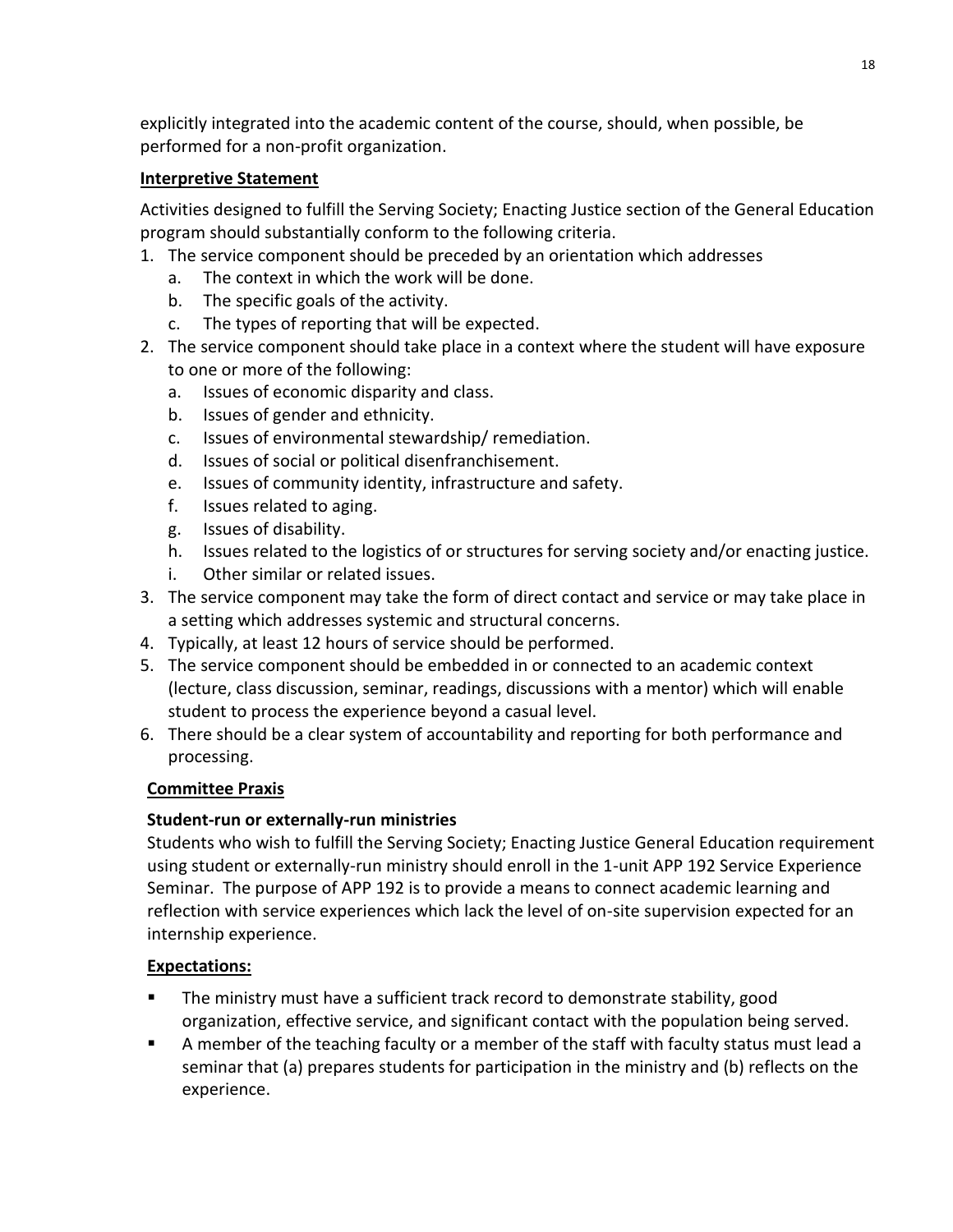explicitly integrated into the academic content of the course, should, when possible, be performed for a non-profit organization.

## **Interpretive Statement**

Activities designed to fulfill the Serving Society; Enacting Justice section of the General Education program should substantially conform to the following criteria.

- 1. The service component should be preceded by an orientation which addresses
	- a. The context in which the work will be done.
	- b. The specific goals of the activity.
	- c. The types of reporting that will be expected.
- 2. The service component should take place in a context where the student will have exposure to one or more of the following:
	- a. Issues of economic disparity and class.
	- b. Issues of gender and ethnicity.
	- c. Issues of environmental stewardship/ remediation.
	- d. Issues of social or political disenfranchisement.
	- e. Issues of community identity, infrastructure and safety.
	- f. Issues related to aging.
	- g. Issues of disability.
	- h. Issues related to the logistics of or structures for serving society and/or enacting justice.
	- i. Other similar or related issues.
- 3. The service component may take the form of direct contact and service or may take place in a setting which addresses systemic and structural concerns.
- 4. Typically, at least 12 hours of service should be performed.
- 5. The service component should be embedded in or connected to an academic context (lecture, class discussion, seminar, readings, discussions with a mentor) which will enable student to process the experience beyond a casual level.
- 6. There should be a clear system of accountability and reporting for both performance and processing.

## **Committee Praxis**

## **Student-run or externally-run ministries**

Students who wish to fulfill the Serving Society; Enacting Justice General Education requirement using student or externally-run ministry should enroll in the 1-unit APP 192 Service Experience Seminar. The purpose of APP 192 is to provide a means to connect academic learning and reflection with service experiences which lack the level of on-site supervision expected for an internship experience.

## **Expectations:**

- The ministry must have a sufficient track record to demonstrate stability, good organization, effective service, and significant contact with the population being served.
- A member of the teaching faculty or a member of the staff with faculty status must lead a seminar that (a) prepares students for participation in the ministry and (b) reflects on the experience.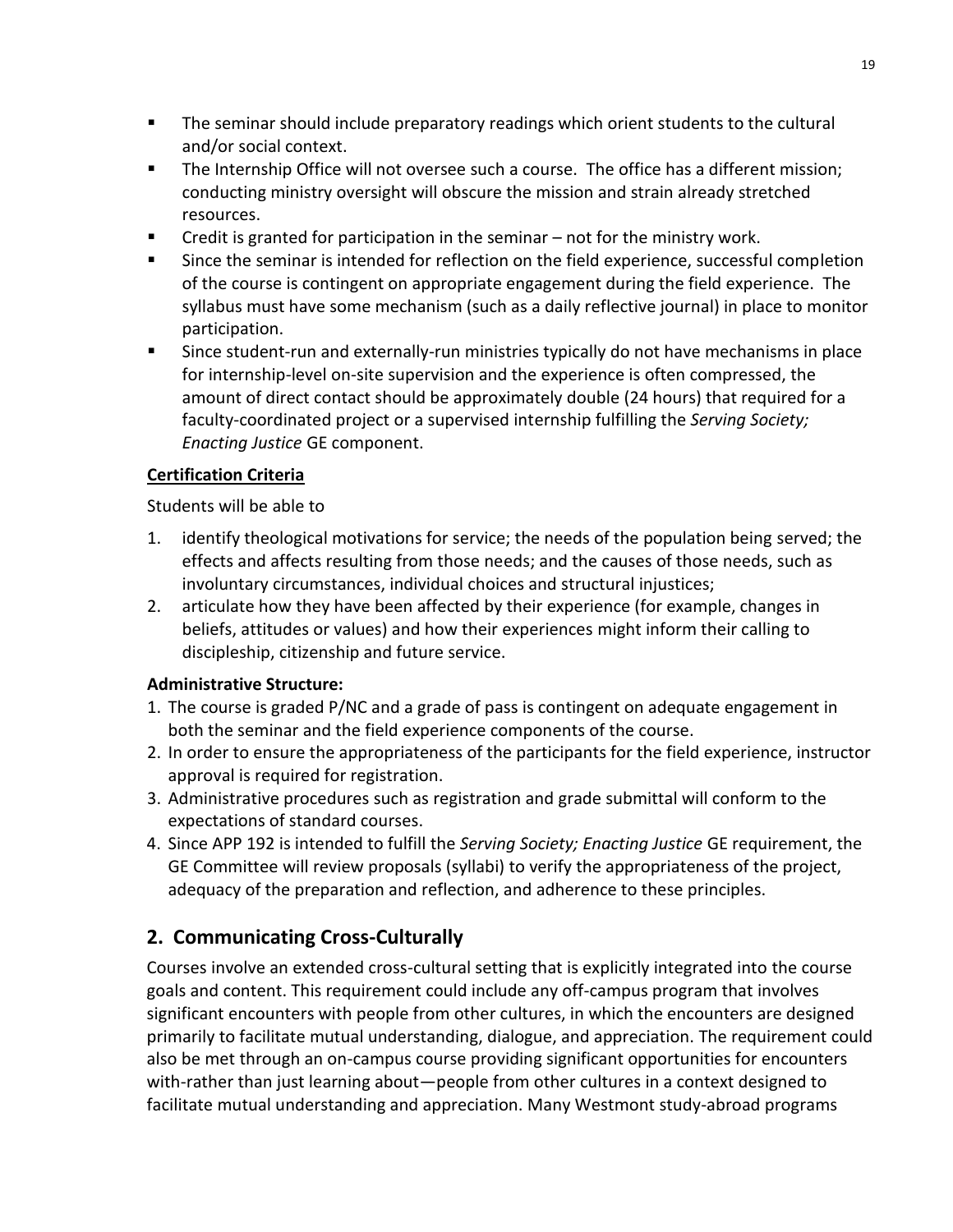- The seminar should include preparatory readings which orient students to the cultural and/or social context.
- The Internship Office will not oversee such a course. The office has a different mission; conducting ministry oversight will obscure the mission and strain already stretched resources.
- Credit is granted for participation in the seminar not for the ministry work.
- Since the seminar is intended for reflection on the field experience, successful completion of the course is contingent on appropriate engagement during the field experience. The syllabus must have some mechanism (such as a daily reflective journal) in place to monitor participation.
- Since student-run and externally-run ministries typically do not have mechanisms in place for internship-level on-site supervision and the experience is often compressed, the amount of direct contact should be approximately double (24 hours) that required for a faculty-coordinated project or a supervised internship fulfilling the *Serving Society; Enacting Justice* GE component.

## **Certification Criteria**

Students will be able to

- 1. identify theological motivations for service; the needs of the population being served; the effects and affects resulting from those needs; and the causes of those needs, such as involuntary circumstances, individual choices and structural injustices;
- 2. articulate how they have been affected by their experience (for example, changes in beliefs, attitudes or values) and how their experiences might inform their calling to discipleship, citizenship and future service.

## **Administrative Structure:**

- 1. The course is graded P/NC and a grade of pass is contingent on adequate engagement in both the seminar and the field experience components of the course.
- 2. In order to ensure the appropriateness of the participants for the field experience, instructor approval is required for registration.
- 3. Administrative procedures such as registration and grade submittal will conform to the expectations of standard courses.
- 4. Since APP 192 is intended to fulfill the *Serving Society; Enacting Justice* GE requirement, the GE Committee will review proposals (syllabi) to verify the appropriateness of the project, adequacy of the preparation and reflection, and adherence to these principles.

# **2. Communicating Cross-Culturally**

Courses involve an extended cross-cultural setting that is explicitly integrated into the course goals and content. This requirement could include any off-campus program that involves significant encounters with people from other cultures, in which the encounters are designed primarily to facilitate mutual understanding, dialogue, and appreciation. The requirement could also be met through an on-campus course providing significant opportunities for encounters with-rather than just learning about—people from other cultures in a context designed to facilitate mutual understanding and appreciation. Many Westmont study-abroad programs